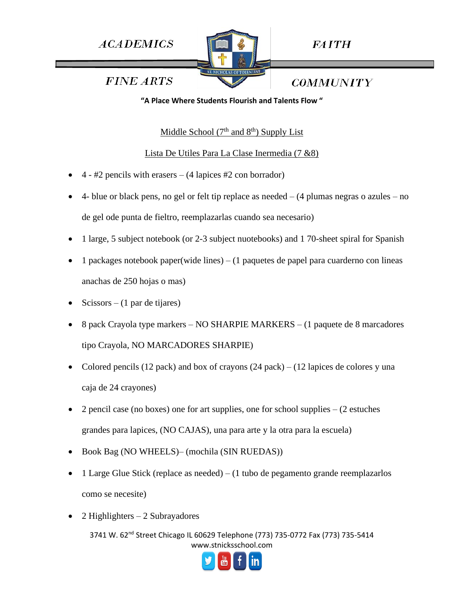**ACADEMICS** 



**FAITH** 

*COMMUNITY* 

**FINE ARTS** 

**"A Place Where Students Flourish and Talents Flow "**

Middle School  $(7<sup>th</sup>$  and  $8<sup>th</sup>$ ) Supply List

# Lista De Utiles Para La Clase Inermedia (7 &8)

- 4 #2 pencils with erasers (4 lapices #2 con borrador)
- 4- blue or black pens, no gel or felt tip replace as needed (4 plumas negras o azules no de gel ode punta de fieltro, reemplazarlas cuando sea necesario)
- 1 large, 5 subject notebook (or 2-3 subject nuotebooks) and 1 70-sheet spiral for Spanish
- 1 packages notebook paper(wide lines)  $-$  (1 paquetes de papel para cuarderno con lineas anachas de 250 hojas o mas)
- $Scissors (1 par de tijares)$
- 8 pack Crayola type markers NO SHARPIE MARKERS (1 paquete de 8 marcadores tipo Crayola, NO MARCADORES SHARPIE)
- Colored pencils (12 pack) and box of crayons  $(24$  pack) (12 lapices de colores y una caja de 24 crayones)
- 2 pencil case (no boxes) one for art supplies, one for school supplies (2 estuches grandes para lapices, (NO CAJAS), una para arte y la otra para la escuela)
- Book Bag (NO WHEELS)– (mochila (SIN RUEDAS))
- 1 Large Glue Stick (replace as needed) (1 tubo de pegamento grande reemplazarlos como se necesite)
- $2$  Highlighters  $-2$  Subrayadores

3741 W. 62<sup>nd</sup> Street Chicago IL 60629 Telephone (773) 735-0772 Fax (773) 735-5414 www.stnicksschool.com

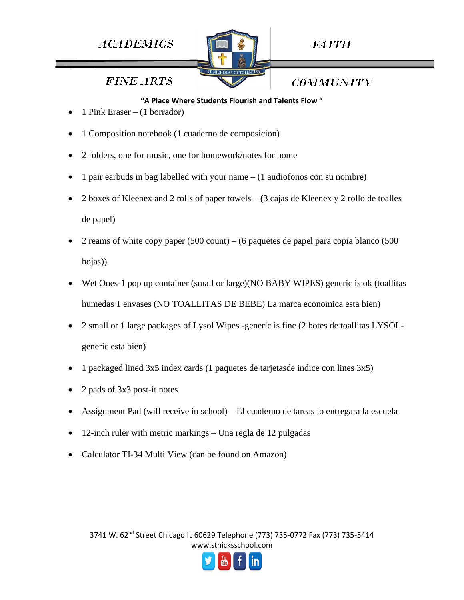# **ACADEMICS**



**FAITH** 

**FINE ARTS** 

**COMMUNITY** 

#### **"A Place Where Students Flourish and Talents Flow "**

- 1 Pink Eraser (1 borrador)
- 1 Composition notebook (1 cuaderno de composicion)
- 2 folders, one for music, one for homework/notes for home
- 1 pair earbuds in bag labelled with your name  $-$  (1 audiofonos con su nombre)
- 2 boxes of Kleenex and 2 rolls of paper towels  $(3 \text{ cajas de Kleenez y 2 rollo de toales})$ de papel)
- 2 reams of white copy paper  $(500 \text{ count}) (6 \text{ paquetes}$  de papel para copia blanco  $(500 \text{ cm})$ hojas))
- Wet Ones-1 pop up container (small or large)(NO BABY WIPES) generic is ok (toallitas humedas 1 envases (NO TOALLITAS DE BEBE) La marca economica esta bien)
- 2 small or 1 large packages of Lysol Wipes -generic is fine (2 botes de toallitas LYSOLgeneric esta bien)
- 1 packaged lined 3x5 index cards (1 paquetes de tarjetasde indice con lines 3x5)
- 2 pads of 3x3 post-it notes
- Assignment Pad (will receive in school) El cuaderno de tareas lo entregara la escuela
- 12-inch ruler with metric markings Una regla de 12 pulgadas
- Calculator TI-34 Multi View (can be found on Amazon)

3741 W. 62nd Street Chicago IL 60629 Telephone (773) 735-0772 Fax (773) 735-5414 www.stnicksschool.com